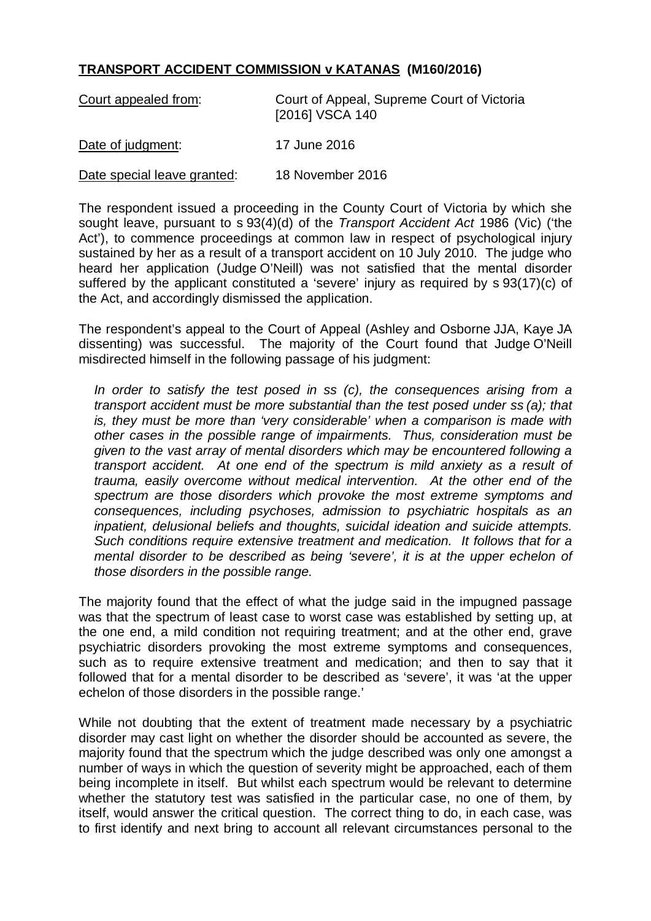## **TRANSPORT ACCIDENT COMMISSION v KATANAS (M160/2016)**

| Court appealed from:        | Court of Appeal, Supreme Court of Victoria<br>[2016] VSCA 140 |
|-----------------------------|---------------------------------------------------------------|
| Date of judgment:           | 17 June 2016                                                  |
| Date special leave granted: | 18 November 2016                                              |

The respondent issued a proceeding in the County Court of Victoria by which she sought leave, pursuant to s 93(4)(d) of the *Transport Accident Act* 1986 (Vic) ('the Act'), to commence proceedings at common law in respect of psychological injury sustained by her as a result of a transport accident on 10 July 2010. The judge who heard her application (Judge O'Neill) was not satisfied that the mental disorder suffered by the applicant constituted a 'severe' injury as required by s 93(17)(c) of the Act, and accordingly dismissed the application.

The respondent's appeal to the Court of Appeal (Ashley and Osborne JJA, Kaye JA dissenting) was successful. The majority of the Court found that Judge O'Neill misdirected himself in the following passage of his judgment:

*In order to satisfy the test posed in ss (c), the consequences arising from a transport accident must be more substantial than the test posed under ss (a); that is, they must be more than 'very considerable' when a comparison is made with other cases in the possible range of impairments. Thus, consideration must be given to the vast array of mental disorders which may be encountered following a transport accident. At one end of the spectrum is mild anxiety as a result of trauma, easily overcome without medical intervention. At the other end of the spectrum are those disorders which provoke the most extreme symptoms and consequences, including psychoses, admission to psychiatric hospitals as an inpatient, delusional beliefs and thoughts, suicidal ideation and suicide attempts. Such conditions require extensive treatment and medication. It follows that for a mental disorder to be described as being 'severe', it is at the upper echelon of those disorders in the possible range.*

The majority found that the effect of what the judge said in the impugned passage was that the spectrum of least case to worst case was established by setting up, at the one end, a mild condition not requiring treatment; and at the other end, grave psychiatric disorders provoking the most extreme symptoms and consequences, such as to require extensive treatment and medication; and then to say that it followed that for a mental disorder to be described as 'severe', it was 'at the upper echelon of those disorders in the possible range.'

While not doubting that the extent of treatment made necessary by a psychiatric disorder may cast light on whether the disorder should be accounted as severe, the majority found that the spectrum which the judge described was only one amongst a number of ways in which the question of severity might be approached, each of them being incomplete in itself. But whilst each spectrum would be relevant to determine whether the statutory test was satisfied in the particular case, no one of them, by itself, would answer the critical question. The correct thing to do, in each case, was to first identify and next bring to account all relevant circumstances personal to the